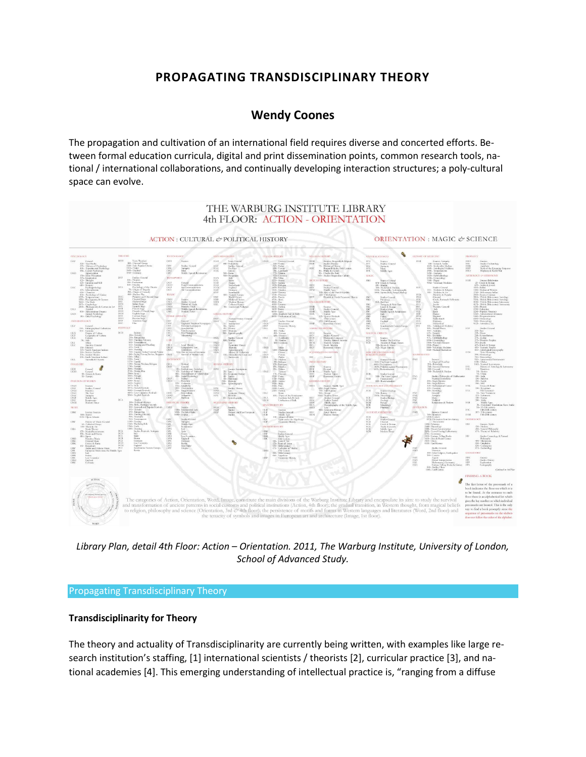# **PROPAGATING TRANSDISCIPLINARY THEORY**

## **[Wendy Coones](http://isea2011.sabanciuniv.edu/-668.html)**

The propagation and cultivation of an international field requires diverse and concerted efforts. Between formal education curricula, digital and print dissemination points, common research tools, national / international collaborations, and continually developing interaction structures; a poly-cultural space can evolve.



*Library Plan, detail 4th Floor: Action – Orientation. 2011, The Warburg Institute, University of London, School of Advanced Study.*

#### Propagating Transdisciplinary Theory

## **Transdisciplinarity for Theory**

The theory and actuality of Transdisciplinarity are currently being written, with examples like large research institution's staffing, [1] international scientists / theorists [2], curricular practice [3], and national academies [4]. This emerging understanding of intellectual practice is, "ranging from a diffuse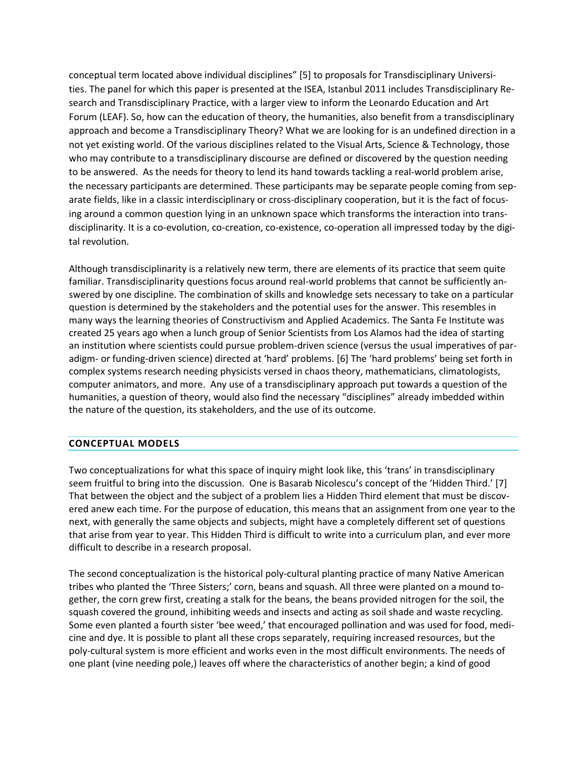conceptual term located above individual disciplines" [5] to proposals for Transdisciplinary Universities. The panel for which this paper is presented at the ISEA, Istanbul 2011 includes Transdisciplinary Research and Transdisciplinary Practice, with a larger view to inform the Leonardo Education and Art Forum (LEAF). So, how can the education of theory, the humanities, also benefit from a transdisciplinary approach and become a Transdisciplinary Theory? What we are looking for is an undefined direction in a not yet existing world. Of the various disciplines related to the Visual Arts, Science & Technology, those who may contribute to a transdisciplinary discourse are defined or discovered by the question needing to be answered. As the needs for theory to lend its hand towards tackling a real-world problem arise, the necessary participants are determined. These participants may be separate people coming from separate fields, like in a classic interdisciplinary or cross-disciplinary cooperation, but it is the fact of focusing around a common question lying in an unknown space which transforms the interaction into transdisciplinarity. It is a co-evolution, co-creation, co-existence, co-operation all impressed today by the digital revolution.

Although transdisciplinarity is a relatively new term, there are elements of its practice that seem quite familiar. Transdisciplinarity questions focus around real-world problems that cannot be sufficiently answered by one discipline. The combination of skills and knowledge sets necessary to take on a particular question is determined by the stakeholders and the potential uses for the answer. This resembles in many ways the learning theories of Constructivism and Applied Academics. The Santa Fe Institute was created 25 years ago when a lunch group of Senior Scientists from Los Alamos had the idea of starting an institution where scientists could pursue problem-driven science (versus the usual imperatives of paradigm- or funding-driven science) directed at 'hard' problems. [6] The 'hard problems' being set forth in complex systems research needing physicists versed in chaos theory, mathematicians, climatologists, computer animators, and more. Any use of a transdisciplinary approach put towards a question of the humanities, a question of theory, would also find the necessary "disciplines" already imbedded within the nature of the question, its stakeholders, and the use of its outcome.

## **CONCEPTUAL MODELS**

Two conceptualizations for what this space of inquiry might look like, this 'trans' in transdisciplinary seem fruitful to bring into the discussion. One is Basarab Nicolescu's concept of the 'Hidden Third.' [7] That between the object and the subject of a problem lies a Hidden Third element that must be discovered anew each time. For the purpose of education, this means that an assignment from one year to the next, with generally the same objects and subjects, might have a completely different set of questions that arise from year to year. This Hidden Third is difficult to write into a curriculum plan, and ever more difficult to describe in a research proposal.

The second conceptualization is the historical poly-cultural planting practice of many Native American tribes who planted the 'Three Sisters;' corn, beans and squash. All three were planted on a mound together, the corn grew first, creating a stalk for the beans, the beans provided nitrogen for the soil, the squash covered the ground, inhibiting weeds and insects and acting as soil shade and waste recycling. Some even planted a fourth sister 'bee weed,' that encouraged pollination and was used for food, medicine and dye. It is possible to plant all these crops separately, requiring increased resources, but the poly-cultural system is more efficient and works even in the most difficult environments. The needs of one plant (vine needing pole,) leaves off where the characteristics of another begin; a kind of good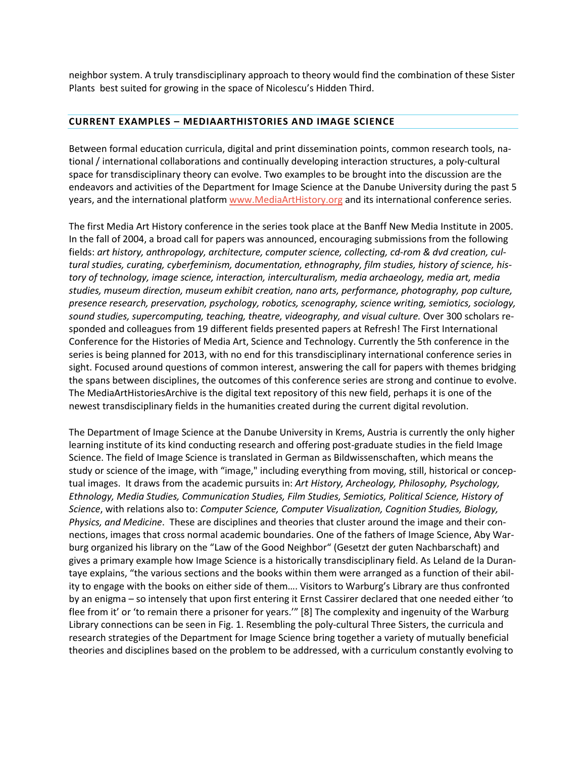neighbor system. A truly transdisciplinary approach to theory would find the combination of these Sister Plants best suited for growing in the space of Nicolescu's Hidden Third.

#### **CURRENT EXAMPLES – MEDIAARTHISTORIES AND IMAGE SCIENCE**

Between formal education curricula, digital and print dissemination points, common research tools, national / international collaborations and continually developing interaction structures, a poly-cultural space for transdisciplinary theory can evolve. Two examples to be brought into the discussion are the endeavors and activities of the Department for Image Science at the Danube University during the past 5 years, and the international platform [www.MediaArtHistory.org](http://www.mediaarthistory.org/) and its international conference series.

The first Media Art History conference in the series took place at the Banff New Media Institute in 2005. In the fall of 2004, a broad call for papers was announced, encouraging submissions from the following fields: *art history, anthropology, architecture, computer science, collecting, cd-rom & dvd creation, cultural studies, curating, cyberfeminism, documentation, ethnography, film studies, history of science, history of technology, image science, interaction, interculturalism, media archaeology, media art, media studies, museum direction, museum exhibit creation, nano arts, performance, photography, pop culture, presence research, preservation, psychology, robotics, scenography, science writing, semiotics, sociology, sound studies, supercomputing, teaching, theatre, videography, and visual culture.* Over 300 scholars responded and colleagues from 19 different fields presented papers at Refresh! The First International Conference for the Histories of Media Art, Science and Technology. Currently the 5th conference in the series is being planned for 2013, with no end for this transdisciplinary international conference series in sight. Focused around questions of common interest, answering the call for papers with themes bridging the spans between disciplines, the outcomes of this conference series are strong and continue to evolve. The MediaArtHistoriesArchive is the digital text repository of this new field, perhaps it is one of the newest transdisciplinary fields in the humanities created during the current digital revolution.

The Department of Image Science at the Danube University in Krems, Austria is currently the only higher learning institute of its kind conducting research and offering post-graduate studies in the field Image Science. The field of Image Science is translated in German as Bildwissenschaften, which means the study or science of the image, with "image," including everything from moving, still, historical or conceptual images. It draws from the academic pursuits in: *Art History, Archeology, Philosophy, Psychology, Ethnology, Media Studies, Communication Studies, Film Studies, Semiotics, Political Science, History of Science*, with relations also to: *Computer Science, Computer Visualization, Cognition Studies, Biology, Physics, and Medicine*. These are disciplines and theories that cluster around the image and their connections, images that cross normal academic boundaries. One of the fathers of Image Science, Aby Warburg organized his library on the "Law of the Good Neighbor" (Gesetzt der guten Nachbarschaft) and gives a primary example how Image Science is a historically transdisciplinary field. As Leland de la Durantaye explains, "the various sections and the books within them were arranged as a function of their ability to engage with the books on either side of them…. Visitors to Warburg's Library are thus confronted by an enigma – so intensely that upon first entering it Ernst Cassirer declared that one needed either 'to flee from it' or 'to remain there a prisoner for years.'" [8] The complexity and ingenuity of the Warburg Library connections can be seen in Fig. 1. Resembling the poly-cultural Three Sisters, the curricula and research strategies of the Department for Image Science bring together a variety of mutually beneficial theories and disciplines based on the problem to be addressed, with a curriculum constantly evolving to